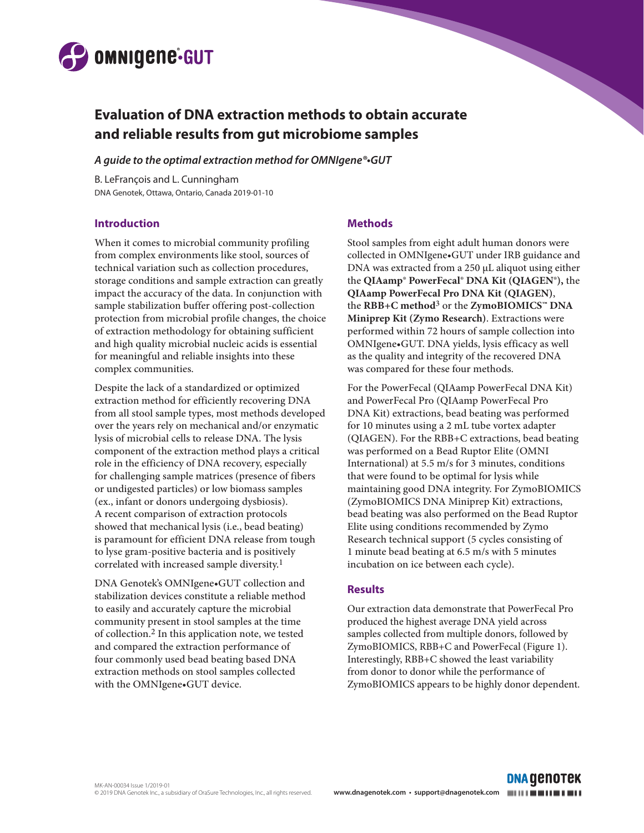

# **Evaluation of DNA extraction methods to obtain accurate and reliable results from gut microbiome samples**

#### *A guide to the optimal extraction method for OMNIgene®•GUT*

B. LeFrançois and L. Cunningham DNA Genotek, Ottawa, Ontario, Canada 2019-01-10

## **Introduction**

When it comes to microbial community profiling from complex environments like stool, sources of technical variation such as collection procedures, storage conditions and sample extraction can greatly impact the accuracy of the data. In conjunction with sample stabilization buffer offering post-collection protection from microbial profile changes, the choice of extraction methodology for obtaining sufficient and high quality microbial nucleic acids is essential for meaningful and reliable insights into these complex communities.

Despite the lack of a standardized or optimized extraction method for efficiently recovering DNA from all stool sample types, most methods developed over the years rely on mechanical and/or enzymatic lysis of microbial cells to release DNA. The lysis component of the extraction method plays a critical role in the efficiency of DNA recovery, especially for challenging sample matrices (presence of fibers or undigested particles) or low biomass samples (ex., infant or donors undergoing dysbiosis). A recent comparison of extraction protocols showed that mechanical lysis (i.e., bead beating) is paramount for efficient DNA release from tough to lyse gram-positive bacteria and is positively correlated with increased sample diversity.<sup>1</sup>

DNA Genotek's OMNIgene•GUT collection and stabilization devices constitute a reliable method to easily and accurately capture the microbial community present in stool samples at the time of collection.2 In this application note, we tested and compared the extraction performance of four commonly used bead beating based DNA extraction methods on stool samples collected with the OMNIgene•GUT device.

## **Methods**

Stool samples from eight adult human donors were collected in OMNIgene•GUT under IRB guidance and DNA was extracted from a 250 µL aliquot using either the **QIAamp® PowerFecal® DNA Kit (QIAGEN®),** the **QIAamp PowerFecal Pro DNA Kit (QIAGEN)**, the **RBB+C method**3 or the **ZymoBIOMICS™ DNA Miniprep Kit (Zymo Research)**. Extractions were performed within 72 hours of sample collection into OMNIgene•GUT. DNA yields, lysis efficacy as well as the quality and integrity of the recovered DNA was compared for these four methods.

For the PowerFecal (QIAamp PowerFecal DNA Kit) and PowerFecal Pro (QIAamp PowerFecal Pro DNA Kit) extractions, bead beating was performed for 10 minutes using a 2 mL tube vortex adapter (QIAGEN). For the RBB+C extractions, bead beating was performed on a Bead Ruptor Elite (OMNI International) at 5.5 m/s for 3 minutes, conditions that were found to be optimal for lysis while maintaining good DNA integrity. For ZymoBIOMICS (ZymoBIOMICS DNA Miniprep Kit) extractions, bead beating was also performed on the Bead Ruptor Elite using conditions recommended by Zymo Research technical support (5 cycles consisting of 1 minute bead beating at 6.5 m/s with 5 minutes incubation on ice between each cycle).

## **Results**

Our extraction data demonstrate that PowerFecal Pro produced the highest average DNA yield across samples collected from multiple donors, followed by ZymoBIOMICS, RBB+C and PowerFecal (Figure 1). Interestingly, RBB+C showed the least variability from donor to donor while the performance of ZymoBIOMICS appears to be highly donor dependent.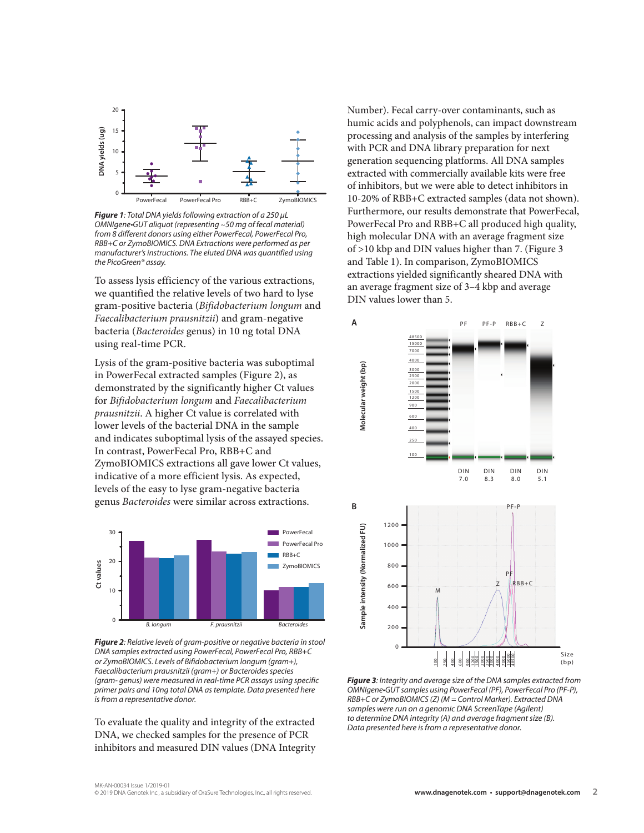

*Figure 1: Total DNA yields following extraction of a 250 µL OMNIgene•GUT aliquot (representing* ~*50 mg of fecal material) from 8 different donors using either PowerFecal, PowerFecal Pro, RBB+C or ZymoBIOMICS. DNA Extractions were performed as per manufacturer's instructions. The eluted DNA was quantified using the PicoGreen® assay.* 

To assess lysis efficiency of the various extractions, we quantified the relative levels of two hard to lyse gram-positive bacteria (*Bifidobacterium longum* and *Faecalibacterium prausnitzii*) and gram-negative bacteria (*Bacteroides* genus) in 10 ng total DNA using real-time PCR.

Lysis of the gram-positive bacteria was suboptimal in PowerFecal extracted samples (Figure 2), as demonstrated by the significantly higher Ct values for *Bifidobacterium longum* and *Faecalibacterium prausnitzii*. A higher Ct value is correlated with lower levels of the bacterial DNA in the sample and indicates suboptimal lysis of the assayed species. In contrast, PowerFecal Pro, RBB+C and ZymoBIOMICS extractions all gave lower Ct values, indicative of a more efficient lysis. As expected, levels of the easy to lyse gram-negative bacteria genus *Bacteroides* were similar across extractions.



*Figure 2: Relative levels of gram-positive or negative bacteria in stool DNA samples extracted using PowerFecal, PowerFecal Pro, RBB+C or ZymoBIOMICS. Levels of Bifidobacterium longum (gram+), Faecalibacterium prausnitzii (gram+) or Bacteroides species (gram- genus) were measured in real-time PCR assays using specific primer pairs and 10ng total DNA as template. Data presented here is from a representative donor.* 

To evaluate the quality and integrity of the extracted DNA, we checked samples for the presence of PCR inhibitors and measured DIN values (DNA Integrity Number). Fecal carry-over contaminants, such as humic acids and polyphenols, can impact downstream processing and analysis of the samples by interfering with PCR and DNA library preparation for next generation sequencing platforms. All DNA samples extracted with commercially available kits were free of inhibitors, but we were able to detect inhibitors in 10-20% of RBB+C extracted samples (data not shown). Furthermore, our results demonstrate that PowerFecal, PowerFecal Pro and RBB+C all produced high quality, high molecular DNA with an average fragment size of >10 kbp and DIN values higher than 7. (Figure 3 and Table 1). In comparison, ZymoBIOMICS extractions yielded significantly sheared DNA with an average fragment size of 3–4 kbp and average DIN values lower than 5.



*Figure 3: Integrity and average size of the DNA samples extracted from OMNIgene•GUT samples using PowerFecal (PF), PowerFecal Pro (PF-P), RBB+C or ZymoBIOMICS (Z) (M = Control Marker). Extracted DNA samples were run on a genomic DNA ScreenTape (Agilent) to determine DNA integrity (A) and average fragment size (B). Data presented here is from a representative donor.*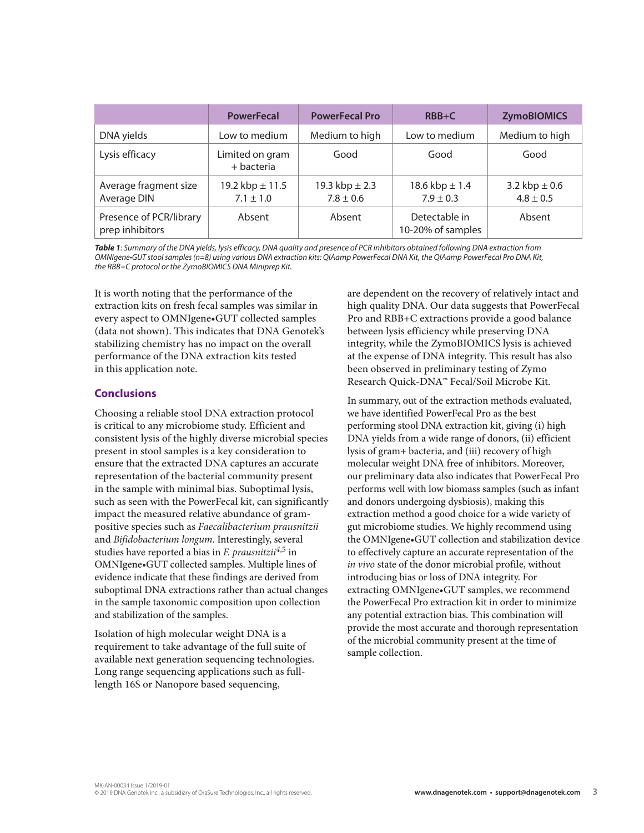|                                            | <b>PowerFecal</b>                    | <b>PowerFecal Pro</b>               | $RBB+C$                             | <b>ZymoBIOMICS</b>                 |
|--------------------------------------------|--------------------------------------|-------------------------------------|-------------------------------------|------------------------------------|
| DNA yields                                 | Low to medium                        | Medium to high                      | Low to medium                       | Medium to high                     |
| Lysis efficacy                             | Limited on gram<br>+ bacteria        | Good                                | Good                                | Good                               |
| Average fragment size<br>Average DIN       | 19.2 kbp $\pm$ 11.5<br>$7.1 \pm 1.0$ | 19.3 kbp $\pm 2.3$<br>$7.8 \pm 0.6$ | 18.6 kbp $\pm$ 1.4<br>$7.9 \pm 0.3$ | 3.2 kbp $\pm$ 0.6<br>$4.8 \pm 0.5$ |
| Presence of PCR/library<br>prep inhibitors | Absent                               | Absent                              | Detectable in<br>10-20% of samples  | Absent                             |

*Table 1: Summary of the DNA yields, lysis efficacy, DNA quality and presence of PCR inhibitors obtained following DNA extraction from OMNIgene•GUT stool samples (n=8) using various DNA extraction kits: QIAamp PowerFecal DNA Kit, the QIAamp PowerFecal Pro DNA Kit, the RBB+C protocol or the ZymoBIOMICS DNA Miniprep Kit.*

It is worth noting that the performance of the extraction kits on fresh fecal samples was similar in every aspect to OMNIgene•GUT collected samples (data not shown). This indicates that DNA Genotek's stabilizing chemistry has no impact on the overall performance of the DNA extraction kits tested in this application note.

## **Conclusions**

Choosing a reliable stool DNA extraction protocol is critical to any microbiome study. Efficient and consistent lysis of the highly diverse microbial species present in stool samples is a key consideration to ensure that the extracted DNA captures an accurate representation of the bacterial community present in the sample with minimal bias. Suboptimal lysis, such as seen with the PowerFecal kit, can significantly impact the measured relative abundance of grampositive species such as *Faecalibacterium prausnitzii* and *Bifidobacterium longum*. Interestingly, several studies have reported a bias in *F. prausnitzii4*,5 in OMNIgene•GUT collected samples. Multiple lines of evidence indicate that these findings are derived from suboptimal DNA extractions rather than actual changes in the sample taxonomic composition upon collection and stabilization of the samples.

Isolation of high molecular weight DNA is a requirement to take advantage of the full suite of available next generation sequencing technologies. Long range sequencing applications such as fulllength 16S or Nanopore based sequencing,

are dependent on the recovery of relatively intact and high quality DNA. Our data suggests that PowerFecal Pro and RBB+C extractions provide a good balance between lysis efficiency while preserving DNA integrity, while the ZymoBIOMICS lysis is achieved at the expense of DNA integrity. This result has also been observed in preliminary testing of Zymo Research Quick-DNA™ Fecal/Soil Microbe Kit.

In summary, out of the extraction methods evaluated, we have identified PowerFecal Pro as the best performing stool DNA extraction kit, giving (i) high DNA yields from a wide range of donors, (ii) efficient lysis of gram+ bacteria, and (iii) recovery of high molecular weight DNA free of inhibitors. Moreover, our preliminary data also indicates that PowerFecal Pro performs well with low biomass samples (such as infant and donors undergoing dysbiosis), making this extraction method a good choice for a wide variety of gut microbiome studies. We highly recommend using the OMNIgene•GUT collection and stabilization device to effectively capture an accurate representation of the *in vivo* state of the donor microbial profile, without introducing bias or loss of DNA integrity. For extracting OMNIgene•GUT samples, we recommend the PowerFecal Pro extraction kit in order to minimize any potential extraction bias. This combination will provide the most accurate and thorough representation of the microbial community present at the time of sample collection.